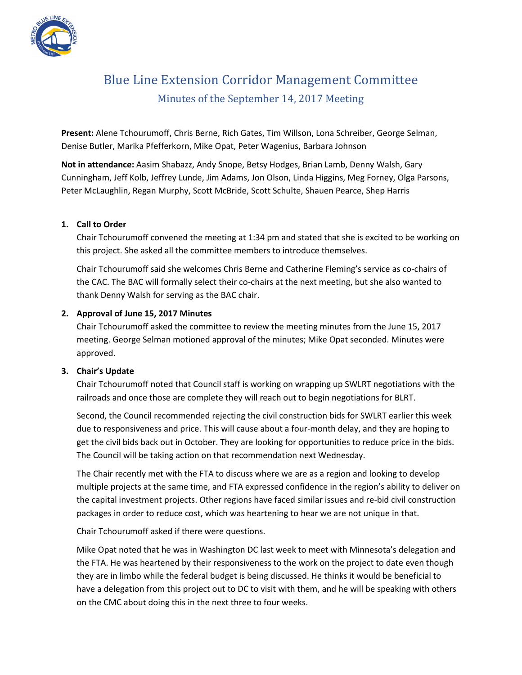

# Blue Line Extension Corridor Management Committee Minutes of the September 14, 2017 Meeting

**Present:** Alene Tchourumoff, Chris Berne, Rich Gates, Tim Willson, Lona Schreiber, George Selman, Denise Butler, Marika Pfefferkorn, Mike Opat, Peter Wagenius, Barbara Johnson

**Not in attendance:** Aasim Shabazz, Andy Snope, Betsy Hodges, Brian Lamb, Denny Walsh, Gary Cunningham, Jeff Kolb, Jeffrey Lunde, Jim Adams, Jon Olson, Linda Higgins, Meg Forney, Olga Parsons, Peter McLaughlin, Regan Murphy, Scott McBride, Scott Schulte, Shauen Pearce, Shep Harris

## **1. Call to Order**

Chair Tchourumoff convened the meeting at 1:34 pm and stated that she is excited to be working on this project. She asked all the committee members to introduce themselves.

Chair Tchourumoff said she welcomes Chris Berne and Catherine Fleming's service as co-chairs of the CAC. The BAC will formally select their co-chairs at the next meeting, but she also wanted to thank Denny Walsh for serving as the BAC chair.

## **2. Approval of June 15, 2017 Minutes**

Chair Tchourumoff asked the committee to review the meeting minutes from the June 15, 2017 meeting. George Selman motioned approval of the minutes; Mike Opat seconded. Minutes were approved.

# **3. Chair's Update**

Chair Tchourumoff noted that Council staff is working on wrapping up SWLRT negotiations with the railroads and once those are complete they will reach out to begin negotiations for BLRT.

Second, the Council recommended rejecting the civil construction bids for SWLRT earlier this week due to responsiveness and price. This will cause about a four-month delay, and they are hoping to get the civil bids back out in October. They are looking for opportunities to reduce price in the bids. The Council will be taking action on that recommendation next Wednesday.

The Chair recently met with the FTA to discuss where we are as a region and looking to develop multiple projects at the same time, and FTA expressed confidence in the region's ability to deliver on the capital investment projects. Other regions have faced similar issues and re-bid civil construction packages in order to reduce cost, which was heartening to hear we are not unique in that.

Chair Tchourumoff asked if there were questions.

Mike Opat noted that he was in Washington DC last week to meet with Minnesota's delegation and the FTA. He was heartened by their responsiveness to the work on the project to date even though they are in limbo while the federal budget is being discussed. He thinks it would be beneficial to have a delegation from this project out to DC to visit with them, and he will be speaking with others on the CMC about doing this in the next three to four weeks.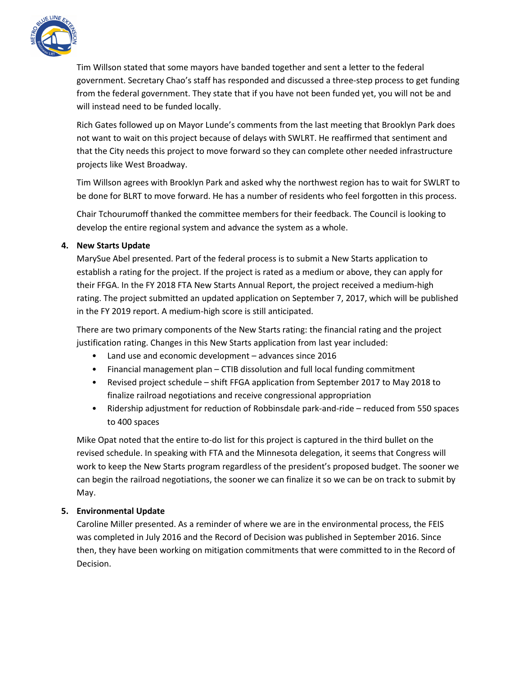

Tim Willson stated that some mayors have banded together and sent a letter to the federal government. Secretary Chao's staff has responded and discussed a three-step process to get funding from the federal government. They state that if you have not been funded yet, you will not be and will instead need to be funded locally.

Rich Gates followed up on Mayor Lunde's comments from the last meeting that Brooklyn Park does not want to wait on this project because of delays with SWLRT. He reaffirmed that sentiment and that the City needs this project to move forward so they can complete other needed infrastructure projects like West Broadway.

Tim Willson agrees with Brooklyn Park and asked why the northwest region has to wait for SWLRT to be done for BLRT to move forward. He has a number of residents who feel forgotten in this process.

Chair Tchourumoff thanked the committee members for their feedback. The Council is looking to develop the entire regional system and advance the system as a whole.

# **4. New Starts Update**

MarySue Abel presented. Part of the federal process is to submit a New Starts application to establish a rating for the project. If the project is rated as a medium or above, they can apply for their FFGA. In the FY 2018 FTA New Starts Annual Report, the project received a medium-high rating. The project submitted an updated application on September 7, 2017, which will be published in the FY 2019 report. A medium-high score is still anticipated.

There are two primary components of the New Starts rating: the financial rating and the project justification rating. Changes in this New Starts application from last year included:

- Land use and economic development advances since 2016
- Financial management plan CTIB dissolution and full local funding commitment
- Revised project schedule shift FFGA application from September 2017 to May 2018 to finalize railroad negotiations and receive congressional appropriation
- Ridership adjustment for reduction of Robbinsdale park-and-ride reduced from 550 spaces to 400 spaces

Mike Opat noted that the entire to-do list for this project is captured in the third bullet on the revised schedule. In speaking with FTA and the Minnesota delegation, it seems that Congress will work to keep the New Starts program regardless of the president's proposed budget. The sooner we can begin the railroad negotiations, the sooner we can finalize it so we can be on track to submit by May.

# **5. Environmental Update**

Caroline Miller presented. As a reminder of where we are in the environmental process, the FEIS was completed in July 2016 and the Record of Decision was published in September 2016. Since then, they have been working on mitigation commitments that were committed to in the Record of Decision.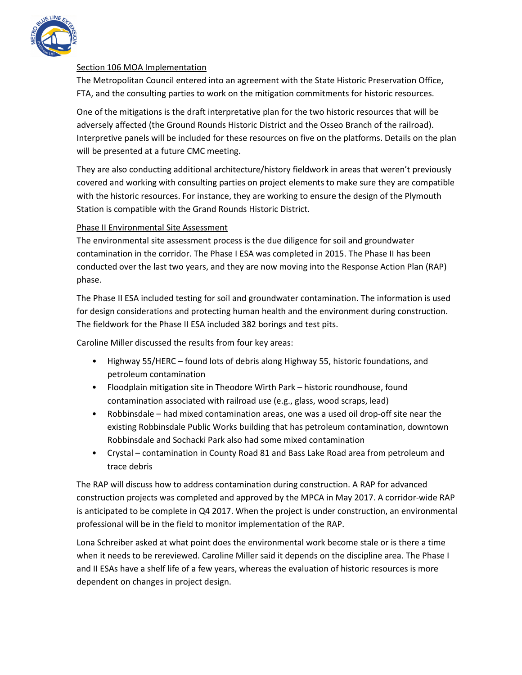

## Section 106 MOA Implementation

The Metropolitan Council entered into an agreement with the State Historic Preservation Office, FTA, and the consulting parties to work on the mitigation commitments for historic resources.

One of the mitigations is the draft interpretative plan for the two historic resources that will be adversely affected (the Ground Rounds Historic District and the Osseo Branch of the railroad). Interpretive panels will be included for these resources on five on the platforms. Details on the plan will be presented at a future CMC meeting.

They are also conducting additional architecture/history fieldwork in areas that weren't previously covered and working with consulting parties on project elements to make sure they are compatible with the historic resources. For instance, they are working to ensure the design of the Plymouth Station is compatible with the Grand Rounds Historic District.

# Phase II Environmental Site Assessment

The environmental site assessment process is the due diligence for soil and groundwater contamination in the corridor. The Phase I ESA was completed in 2015. The Phase II has been conducted over the last two years, and they are now moving into the Response Action Plan (RAP) phase.

The Phase II ESA included testing for soil and groundwater contamination. The information is used for design considerations and protecting human health and the environment during construction. The fieldwork for the Phase II ESA included 382 borings and test pits.

Caroline Miller discussed the results from four key areas:

- Highway 55/HERC found lots of debris along Highway 55, historic foundations, and petroleum contamination
- Floodplain mitigation site in Theodore Wirth Park historic roundhouse, found contamination associated with railroad use (e.g., glass, wood scraps, lead)
- Robbinsdale had mixed contamination areas, one was a used oil drop-off site near the existing Robbinsdale Public Works building that has petroleum contamination, downtown Robbinsdale and Sochacki Park also had some mixed contamination
- Crystal contamination in County Road 81 and Bass Lake Road area from petroleum and trace debris

The RAP will discuss how to address contamination during construction. A RAP for advanced construction projects was completed and approved by the MPCA in May 2017. A corridor-wide RAP is anticipated to be complete in Q4 2017. When the project is under construction, an environmental professional will be in the field to monitor implementation of the RAP.

Lona Schreiber asked at what point does the environmental work become stale or is there a time when it needs to be rereviewed. Caroline Miller said it depends on the discipline area. The Phase I and II ESAs have a shelf life of a few years, whereas the evaluation of historic resources is more dependent on changes in project design.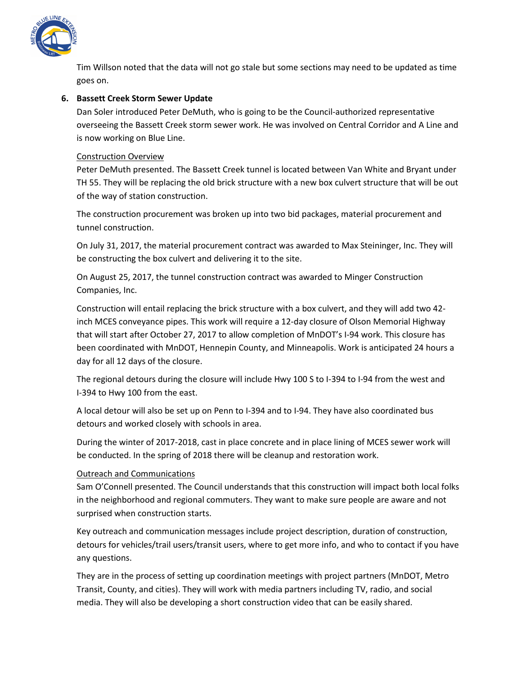

Tim Willson noted that the data will not go stale but some sections may need to be updated as time goes on.

## **6. Bassett Creek Storm Sewer Update**

Dan Soler introduced Peter DeMuth, who is going to be the Council-authorized representative overseeing the Bassett Creek storm sewer work. He was involved on Central Corridor and A Line and is now working on Blue Line.

#### Construction Overview

Peter DeMuth presented. The Bassett Creek tunnel is located between Van White and Bryant under TH 55. They will be replacing the old brick structure with a new box culvert structure that will be out of the way of station construction.

The construction procurement was broken up into two bid packages, material procurement and tunnel construction.

On July 31, 2017, the material procurement contract was awarded to Max Steininger, Inc. They will be constructing the box culvert and delivering it to the site.

On August 25, 2017, the tunnel construction contract was awarded to Minger Construction Companies, Inc.

Construction will entail replacing the brick structure with a box culvert, and they will add two 42 inch MCES conveyance pipes. This work will require a 12-day closure of Olson Memorial Highway that will start after October 27, 2017 to allow completion of MnDOT's I-94 work. This closure has been coordinated with MnDOT, Hennepin County, and Minneapolis. Work is anticipated 24 hours a day for all 12 days of the closure.

The regional detours during the closure will include Hwy 100 S to I-394 to I-94 from the west and I-394 to Hwy 100 from the east.

A local detour will also be set up on Penn to I-394 and to I-94. They have also coordinated bus detours and worked closely with schools in area.

During the winter of 2017-2018, cast in place concrete and in place lining of MCES sewer work will be conducted. In the spring of 2018 there will be cleanup and restoration work.

#### Outreach and Communications

Sam O'Connell presented. The Council understands that this construction will impact both local folks in the neighborhood and regional commuters. They want to make sure people are aware and not surprised when construction starts.

Key outreach and communication messages include project description, duration of construction, detours for vehicles/trail users/transit users, where to get more info, and who to contact if you have any questions.

They are in the process of setting up coordination meetings with project partners (MnDOT, Metro Transit, County, and cities). They will work with media partners including TV, radio, and social media. They will also be developing a short construction video that can be easily shared.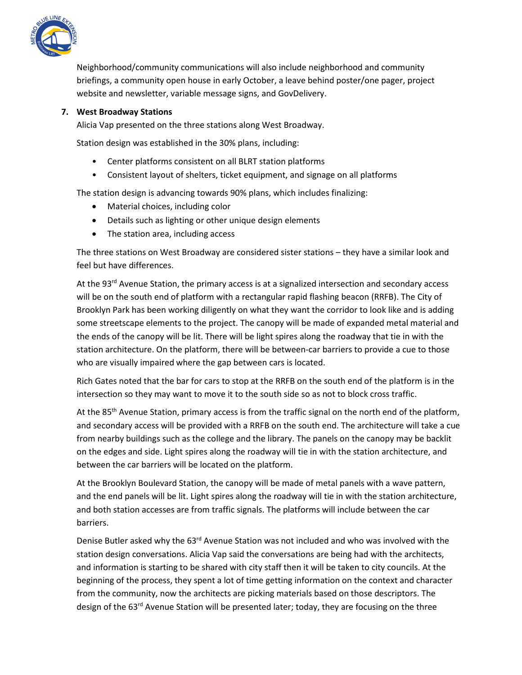

Neighborhood/community communications will also include neighborhood and community briefings, a community open house in early October, a leave behind poster/one pager, project website and newsletter, variable message signs, and GovDelivery.

## **7. West Broadway Stations**

Alicia Vap presented on the three stations along West Broadway.

Station design was established in the 30% plans, including:

- Center platforms consistent on all BLRT station platforms
- Consistent layout of shelters, ticket equipment, and signage on all platforms

The station design is advancing towards 90% plans, which includes finalizing:

- Material choices, including color
- Details such as lighting or other unique design elements
- The station area, including access

The three stations on West Broadway are considered sister stations – they have a similar look and feel but have differences.

At the 93<sup>rd</sup> Avenue Station, the primary access is at a signalized intersection and secondary access will be on the south end of platform with a rectangular rapid flashing beacon (RRFB). The City of Brooklyn Park has been working diligently on what they want the corridor to look like and is adding some streetscape elements to the project. The canopy will be made of expanded metal material and the ends of the canopy will be lit. There will be light spires along the roadway that tie in with the station architecture. On the platform, there will be between-car barriers to provide a cue to those who are visually impaired where the gap between cars is located.

Rich Gates noted that the bar for cars to stop at the RRFB on the south end of the platform is in the intersection so they may want to move it to the south side so as not to block cross traffic.

At the 85<sup>th</sup> Avenue Station, primary access is from the traffic signal on the north end of the platform, and secondary access will be provided with a RRFB on the south end. The architecture will take a cue from nearby buildings such as the college and the library. The panels on the canopy may be backlit on the edges and side. Light spires along the roadway will tie in with the station architecture, and between the car barriers will be located on the platform.

At the Brooklyn Boulevard Station, the canopy will be made of metal panels with a wave pattern, and the end panels will be lit. Light spires along the roadway will tie in with the station architecture, and both station accesses are from traffic signals. The platforms will include between the car barriers.

Denise Butler asked why the  $63^{\text{rd}}$  Avenue Station was not included and who was involved with the station design conversations. Alicia Vap said the conversations are being had with the architects, and information is starting to be shared with city staff then it will be taken to city councils. At the beginning of the process, they spent a lot of time getting information on the context and character from the community, now the architects are picking materials based on those descriptors. The design of the 63<sup>rd</sup> Avenue Station will be presented later; today, they are focusing on the three